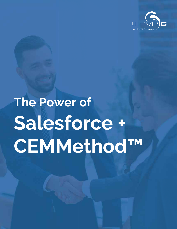

# **The Power of Salesforce + CEMMethod™**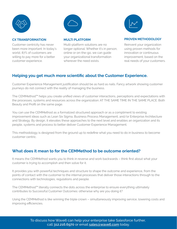

Customer centricity has never been more important. In today's world, 87% of customers are willing to pay more for a better customer experience.



#### **MULTI PLATFORM**

Multi-platform solutions are no longer optional. Whether it's in person, online or on-the-go, we can guide your organizational transformation wherever the need exists.



#### **CX TRANSFORMATION BULTI PLATFORM BULLY BROVEN METHODOLOGY**

Reinvent your organization using proven methods for innovation or continuous improvement, based on the real needs of your customers.

#### **Helping you get much more scientific about the Customer Experience.**

Customer Experience Management justification should be as hard as nails. Fancy artwork showing customer journeys do not connect with the reality of managing the business.

The CEMMethod™ helps you create unified views of customer interactions, perceptions and expectations with the processes, systems and resources across the organization: AT THE SAME TIME IN THE SAME PLACE. Both Beauty and Profit on the same page.

You can use the CEMMethod as a formalized structured approach or as a compliment to existing improvement ideas such as Lean Six Sigma, Business Process Management, and/or Enterprise Architecture and Strategy. By design, it elevates these approaches to the next level and enables an organization and its people, systems and process to better deliver Customer Experience Management.

This methodology is designed from the ground up to redefine what you need to do in business to become customer centric.

#### **What does it mean to for the CEMMethod to be outcome oriented?**

It means the CEMMethod wants you to think in reverse and work backwards – think first about what your customer is trying to accomplish and then solve for it.

It provides you with powerful techniques and structure to shape the outcome and experience, from the points of contact with the customer to the internal processes that deliver those interactions through to the connections with technologies, regulations and people.

The CEMMethod™ literally connects the dots across the enterprise to ensure everything ultimately contributes to Successful Customer Outcomes: otherwise why are you doing it?

Using the CEMMethod is like winning the triple crown – simultaneously improving service, lowering costs and improving efficiencies.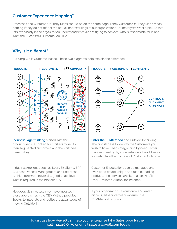#### **Customer Experience Mapping™**

Processes and Customer Journey Maps should be on the same page. Fancy Customer Journey Maps mean nothing if they do not reflect the actual inner workings of our organizations. Ultimately we want a picture that lets everybody in the organization understand what we are trying to achieve, who is responsible for it, and what the Successful Outcome look like.

### **Why is it different?**

Put simply, it is Outcome-based. These two diagrams help explain the difference: